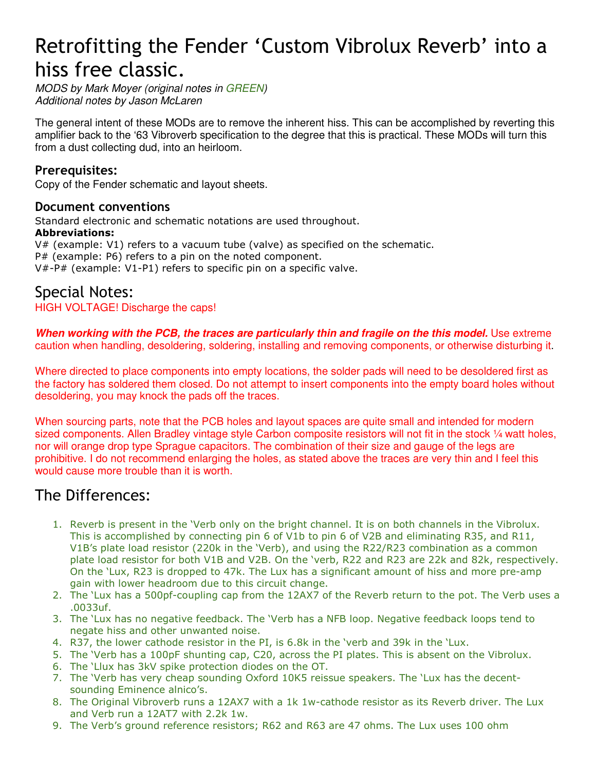# Retrofitting the Fender 'Custom Vibrolux Reverb' into a hiss free classic.

MODS by Mark Moyer (original notes in GREEN) Additional notes by Jason McLaren

The general intent of these MODs are to remove the inherent hiss. This can be accomplished by reverting this amplifier back to the '63 Vibroverb specification to the degree that this is practical. These MODs will turn this from a dust collecting dud, into an heirloom.

# Prerequisites:

Copy of the Fender schematic and layout sheets.

# Document conventions

Standard electronic and schematic notations are used throughout.

# Abbreviations:

V# (example: V1) refers to a vacuum tube (valve) as specified on the schematic. P# (example: P6) refers to a pin on the noted component. V#-P# (example: V1-P1) refers to specific pin on a specific valve.

# Special Notes:

# HIGH VOLTAGE! Discharge the caps!

**When working with the PCB, the traces are particularly thin and fragile on the this model.** Use extreme caution when handling, desoldering, soldering, installing and removing components, or otherwise disturbing it.

Where directed to place components into empty locations, the solder pads will need to be desoldered first as the factory has soldered them closed. Do not attempt to insert components into the empty board holes without desoldering, you may knock the pads off the traces.

When sourcing parts, note that the PCB holes and layout spaces are quite small and intended for modern sized components. Allen Bradley vintage style Carbon composite resistors will not fit in the stock 1/4 watt holes, nor will orange drop type Sprague capacitors. The combination of their size and gauge of the legs are prohibitive. I do not recommend enlarging the holes, as stated above the traces are very thin and I feel this would cause more trouble than it is worth.

# The Differences:

- 1. Reverb is present in the 'Verb only on the bright channel. It is on both channels in the Vibrolux. This is accomplished by connecting pin 6 of V1b to pin 6 of V2B and eliminating R35, and R11, V1B's plate load resistor (220k in the 'Verb), and using the R22/R23 combination as a common plate load resistor for both V1B and V2B. On the 'verb, R22 and R23 are 22k and 82k, respectively. On the 'Lux, R23 is dropped to 47k. The Lux has a significant amount of hiss and more pre-amp gain with lower headroom due to this circuit change.
- 2. The 'Lux has a 500pf-coupling cap from the 12AX7 of the Reverb return to the pot. The Verb uses a .0033uf.
- 3. The 'Lux has no negative feedback. The 'Verb has a NFB loop. Negative feedback loops tend to negate hiss and other unwanted noise.
- 4. R37, the lower cathode resistor in the PI, is 6.8k in the 'verb and 39k in the 'Lux.
- 5. The 'Verb has a 100pF shunting cap, C20, across the PI plates. This is absent on the Vibrolux.
- 6. The 'Llux has 3kV spike protection diodes on the OT.
- 7. The 'Verb has very cheap sounding Oxford 10K5 reissue speakers. The 'Lux has the decentsounding Eminence alnico's.
- 8. The Original Vibroverb runs a 12AX7 with a 1k 1w-cathode resistor as its Reverb driver. The Lux and Verb run a 12AT7 with 2.2k 1w.
- 9. The Verb's ground reference resistors; R62 and R63 are 47 ohms. The Lux uses 100 ohm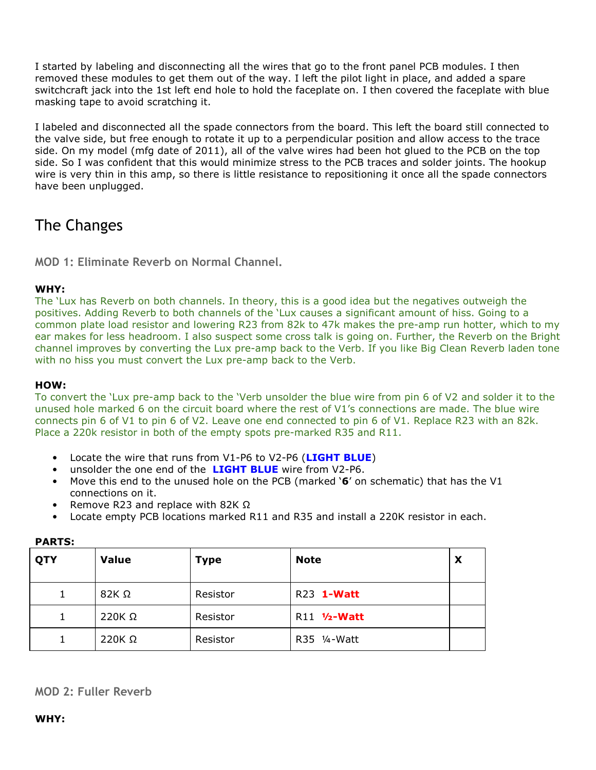I started by labeling and disconnecting all the wires that go to the front panel PCB modules. I then removed these modules to get them out of the way. I left the pilot light in place, and added a spare switchcraft jack into the 1st left end hole to hold the faceplate on. I then covered the faceplate with blue masking tape to avoid scratching it.

I labeled and disconnected all the spade connectors from the board. This left the board still connected to the valve side, but free enough to rotate it up to a perpendicular position and allow access to the trace side. On my model (mfg date of 2011), all of the valve wires had been hot glued to the PCB on the top side. So I was confident that this would minimize stress to the PCB traces and solder joints. The hookup wire is very thin in this amp, so there is little resistance to repositioning it once all the spade connectors have been unplugged.

# The Changes

MOD 1: Eliminate Reverb on Normal Channel.

# WHY:

The 'Lux has Reverb on both channels. In theory, this is a good idea but the negatives outweigh the positives. Adding Reverb to both channels of the 'Lux causes a significant amount of hiss. Going to a common plate load resistor and lowering R23 from 82k to 47k makes the pre-amp run hotter, which to my ear makes for less headroom. I also suspect some cross talk is going on. Further, the Reverb on the Bright channel improves by converting the Lux pre-amp back to the Verb. If you like Big Clean Reverb laden tone with no hiss you must convert the Lux pre-amp back to the Verb.

### HOW:

To convert the 'Lux pre-amp back to the 'Verb unsolder the blue wire from pin 6 of V2 and solder it to the unused hole marked 6 on the circuit board where the rest of V1's connections are made. The blue wire connects pin 6 of V1 to pin 6 of V2. Leave one end connected to pin 6 of V1. Replace R23 with an 82k. Place a 220k resistor in both of the empty spots pre-marked R35 and R11.

- Locate the wire that runs from V1-P6 to V2-P6 (LIGHT BLUE)
- unsolder the one end of the **LIGHT BLUE** wire from V2-P6.
- Move this end to the unused hole on the PCB (marked '6' on schematic) that has the V1 connections on it.
- Remove R23 and replace with 82K  $\Omega$
- Locate empty PCB locations marked R11 and R35 and install a 220K resistor in each.

| QTY | <b>Value</b>  | <b>Type</b> | <b>Note</b>  | X |
|-----|---------------|-------------|--------------|---|
| 1   | $82K\Omega$   | Resistor    | R23 1-Watt   |   |
| 1   | $220K \Omega$ | Resistor    | R11 1/2-Watt |   |
|     | 220K $\Omega$ | Resistor    | R35 1⁄4-Watt |   |

#### PARTS:

### MOD 2: Fuller Reverb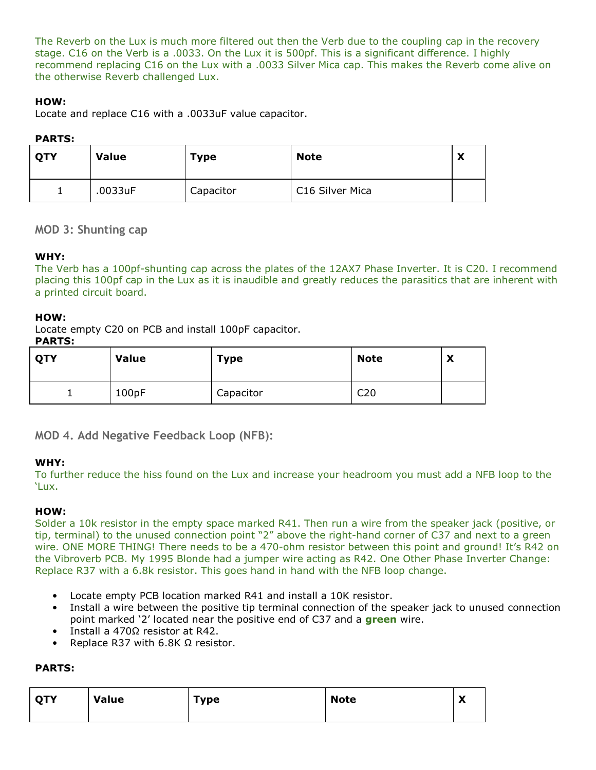The Reverb on the Lux is much more filtered out then the Verb due to the coupling cap in the recovery stage. C16 on the Verb is a .0033. On the Lux it is 500pf. This is a significant difference. I highly recommend replacing C16 on the Lux with a .0033 Silver Mica cap. This makes the Reverb come alive on the otherwise Reverb challenged Lux.

### HOW:

Locate and replace C16 with a .0033uF value capacitor.

### PARTS:

| <b>QTY</b> | <b>Value</b> | <b>Type</b> | <b>Note</b>     | v<br>↗ |
|------------|--------------|-------------|-----------------|--------|
|            | .0033uF      | Capacitor   | C16 Silver Mica |        |

### MOD 3: Shunting cap

### WHY:

The Verb has a 100pf-shunting cap across the plates of the 12AX7 Phase Inverter. It is C20. I recommend placing this 100pf cap in the Lux as it is inaudible and greatly reduces the parasitics that are inherent with a printed circuit board.

#### HOW:

Locate empty C20 on PCB and install 100pF capacitor.

#### PARTS:

| QTY | <b>Value</b> | <b>Type</b> | <b>Note</b>     | X |
|-----|--------------|-------------|-----------------|---|
| ∸   | 100pF        | Capacitor   | C <sub>20</sub> |   |

MOD 4. Add Negative Feedback Loop (NFB):

### WHY:

To further reduce the hiss found on the Lux and increase your headroom you must add a NFB loop to the 'Lux.

### HOW:

Solder a 10k resistor in the empty space marked R41. Then run a wire from the speaker jack (positive, or tip, terminal) to the unused connection point "2" above the right-hand corner of C37 and next to a green wire. ONE MORE THING! There needs to be a 470-ohm resistor between this point and ground! It's R42 on the Vibroverb PCB. My 1995 Blonde had a jumper wire acting as R42. One Other Phase Inverter Change: Replace R37 with a 6.8k resistor. This goes hand in hand with the NFB loop change.

- Locate empty PCB location marked R41 and install a 10K resistor.
- Install a wire between the positive tip terminal connection of the speaker jack to unused connection point marked '2' located near the positive end of C37 and a **green** wire.
- Install a 470Ω resistor at R42.
- Replace R37 with 6.8K  $Ω$  resistor.

### PARTS:

| <b>QTY</b> | <b>Value</b> | Type | <b>Note</b> | v<br>$\boldsymbol{\mathcal{L}}$ |
|------------|--------------|------|-------------|---------------------------------|
|------------|--------------|------|-------------|---------------------------------|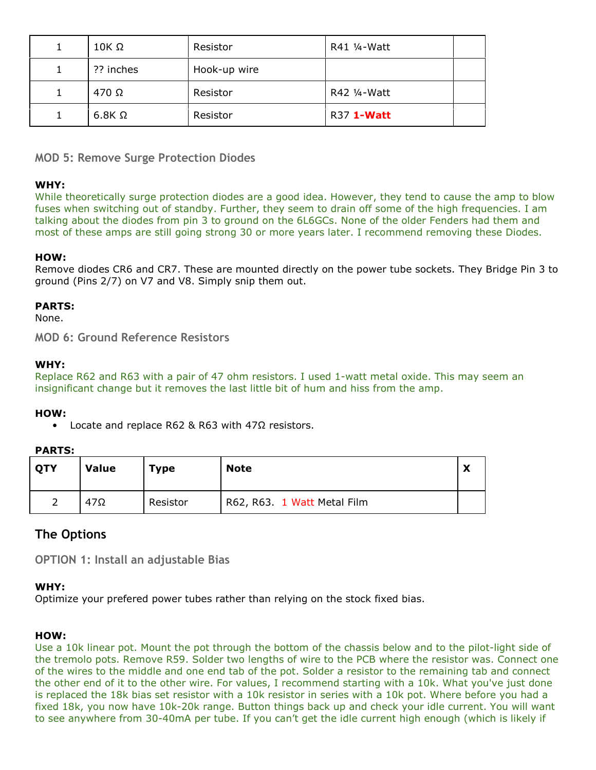| $10K \Omega$ | Resistor     | R41 1/4-Watt      |  |
|--------------|--------------|-------------------|--|
| ?? inches    | Hook-up wire |                   |  |
| $470 \Omega$ | Resistor     | R42 1/4-Watt      |  |
| $6.8K\Omega$ | Resistor     | R37 <b>1-Watt</b> |  |

MOD 5: Remove Surge Protection Diodes

#### WHY:

While theoretically surge protection diodes are a good idea. However, they tend to cause the amp to blow fuses when switching out of standby. Further, they seem to drain off some of the high frequencies. I am talking about the diodes from pin 3 to ground on the 6L6GCs. None of the older Fenders had them and most of these amps are still going strong 30 or more years later. I recommend removing these Diodes.

#### HOW:

Remove diodes CR6 and CR7. These are mounted directly on the power tube sockets. They Bridge Pin 3 to ground (Pins 2/7) on V7 and V8. Simply snip them out.

#### PARTS:

None.

MOD 6: Ground Reference Resistors

#### WHY:

Replace R62 and R63 with a pair of 47 ohm resistors. I used 1-watt metal oxide. This may seem an insignificant change but it removes the last little bit of hum and hiss from the amp.

#### HOW:

• Locate and replace R62 & R63 with 47Ω resistors.

#### PARTS:

| <b>QTY</b> | <b>Value</b> | <b>Type</b> | <b>Note</b>                 | v<br>$\boldsymbol{\mathcal{L}}$ |
|------------|--------------|-------------|-----------------------------|---------------------------------|
|            | $47\Omega$   | Resistor    | R62, R63. 1 Watt Metal Film |                                 |

# The Options

OPTION 1: Install an adjustable Bias

#### WHY:

Optimize your prefered power tubes rather than relying on the stock fixed bias.

### HOW:

Use a 10k linear pot. Mount the pot through the bottom of the chassis below and to the pilot-light side of the tremolo pots. Remove R59. Solder two lengths of wire to the PCB where the resistor was. Connect one of the wires to the middle and one end tab of the pot. Solder a resistor to the remaining tab and connect the other end of it to the other wire. For values, I recommend starting with a 10k. What you've just done is replaced the 18k bias set resistor with a 10k resistor in series with a 10k pot. Where before you had a fixed 18k, you now have 10k-20k range. Button things back up and check your idle current. You will want to see anywhere from 30-40mA per tube. If you can't get the idle current high enough (which is likely if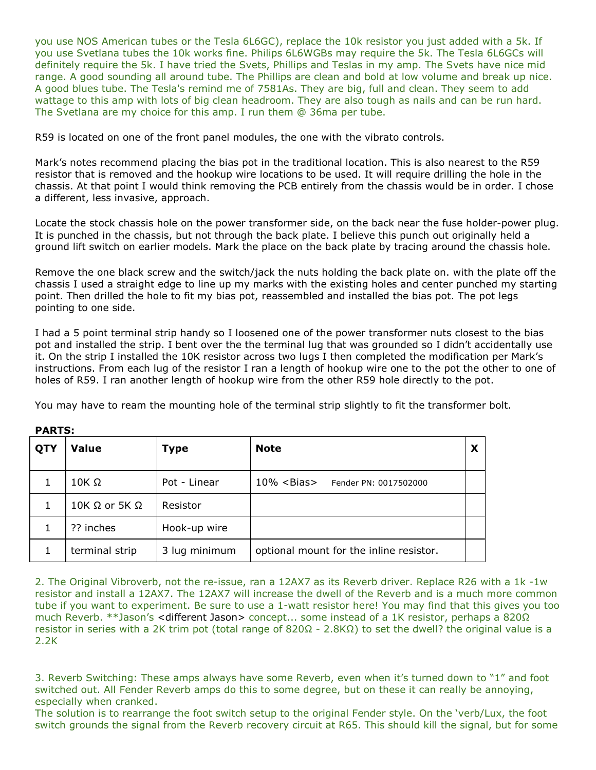you use NOS American tubes or the Tesla 6L6GC), replace the 10k resistor you just added with a 5k. If you use Svetlana tubes the 10k works fine. Philips 6L6WGBs may require the 5k. The Tesla 6L6GCs will definitely require the 5k. I have tried the Svets, Phillips and Teslas in my amp. The Svets have nice mid range. A good sounding all around tube. The Phillips are clean and bold at low volume and break up nice. A good blues tube. The Tesla's remind me of 7581As. They are big, full and clean. They seem to add wattage to this amp with lots of big clean headroom. They are also tough as nails and can be run hard. The Svetlana are my choice for this amp. I run them @ 36ma per tube.

R59 is located on one of the front panel modules, the one with the vibrato controls.

Mark's notes recommend placing the bias pot in the traditional location. This is also nearest to the R59 resistor that is removed and the hookup wire locations to be used. It will require drilling the hole in the chassis. At that point I would think removing the PCB entirely from the chassis would be in order. I chose a different, less invasive, approach.

Locate the stock chassis hole on the power transformer side, on the back near the fuse holder-power plug. It is punched in the chassis, but not through the back plate. I believe this punch out originally held a ground lift switch on earlier models. Mark the place on the back plate by tracing around the chassis hole.

Remove the one black screw and the switch/jack the nuts holding the back plate on. with the plate off the chassis I used a straight edge to line up my marks with the existing holes and center punched my starting point. Then drilled the hole to fit my bias pot, reassembled and installed the bias pot. The pot legs pointing to one side.

I had a 5 point terminal strip handy so I loosened one of the power transformer nuts closest to the bias pot and installed the strip. I bent over the the terminal lug that was grounded so I didn't accidentally use it. On the strip I installed the 10K resistor across two lugs I then completed the modification per Mark's instructions. From each lug of the resistor I ran a length of hookup wire one to the pot the other to one of holes of R59. I ran another length of hookup wire from the other R59 hole directly to the pot.

You may have to ream the mounting hole of the terminal strip slightly to fit the transformer bolt.

| QTY          | <b>Value</b>    | <b>Type</b>   | <b>Note</b>                                | X |
|--------------|-----------------|---------------|--------------------------------------------|---|
|              | 10K Ω           | Pot - Linear  | $10\% <$ Bias $>$<br>Fender PN: 0017502000 |   |
| $\mathbf{1}$ | 10K Ω or 5K $Ω$ | Resistor      |                                            |   |
|              | ?? inches       | Hook-up wire  |                                            |   |
|              | terminal strip  | 3 lug minimum | optional mount for the inline resistor.    |   |

#### PARTS:

2. The Original Vibroverb, not the re-issue, ran a 12AX7 as its Reverb driver. Replace R26 with a 1k -1w resistor and install a 12AX7. The 12AX7 will increase the dwell of the Reverb and is a much more common tube if you want to experiment. Be sure to use a 1-watt resistor here! You may find that this gives you too much Reverb. \*\*Jason's <different Jason> concept... some instead of a 1K resistor, perhaps a 820Ω resistor in series with a 2K trim pot (total range of 820Ω - 2.8KΩ) to set the dwell? the original value is a 2.2K

3. Reverb Switching: These amps always have some Reverb, even when it's turned down to "1" and foot switched out. All Fender Reverb amps do this to some degree, but on these it can really be annoying, especially when cranked.

The solution is to rearrange the foot switch setup to the original Fender style. On the 'verb/Lux, the foot switch grounds the signal from the Reverb recovery circuit at R65. This should kill the signal, but for some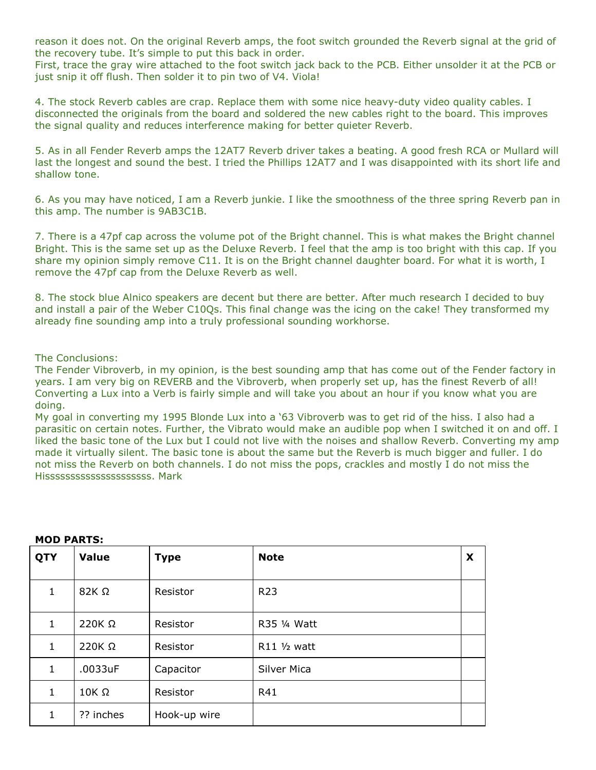reason it does not. On the original Reverb amps, the foot switch grounded the Reverb signal at the grid of the recovery tube. It's simple to put this back in order.

First, trace the gray wire attached to the foot switch jack back to the PCB. Either unsolder it at the PCB or just snip it off flush. Then solder it to pin two of V4. Viola!

4. The stock Reverb cables are crap. Replace them with some nice heavy-duty video quality cables. I disconnected the originals from the board and soldered the new cables right to the board. This improves the signal quality and reduces interference making for better quieter Reverb.

5. As in all Fender Reverb amps the 12AT7 Reverb driver takes a beating. A good fresh RCA or Mullard will last the longest and sound the best. I tried the Phillips 12AT7 and I was disappointed with its short life and shallow tone.

6. As you may have noticed, I am a Reverb junkie. I like the smoothness of the three spring Reverb pan in this amp. The number is 9AB3C1B.

7. There is a 47pf cap across the volume pot of the Bright channel. This is what makes the Bright channel Bright. This is the same set up as the Deluxe Reverb. I feel that the amp is too bright with this cap. If you share my opinion simply remove C11. It is on the Bright channel daughter board. For what it is worth, I remove the 47pf cap from the Deluxe Reverb as well.

8. The stock blue Alnico speakers are decent but there are better. After much research I decided to buy and install a pair of the Weber C10Qs. This final change was the icing on the cake! They transformed my already fine sounding amp into a truly professional sounding workhorse.

#### The Conclusions:

The Fender Vibroverb, in my opinion, is the best sounding amp that has come out of the Fender factory in years. I am very big on REVERB and the Vibroverb, when properly set up, has the finest Reverb of all! Converting a Lux into a Verb is fairly simple and will take you about an hour if you know what you are doing.

My goal in converting my 1995 Blonde Lux into a '63 Vibroverb was to get rid of the hiss. I also had a parasitic on certain notes. Further, the Vibrato would make an audible pop when I switched it on and off. I liked the basic tone of the Lux but I could not live with the noises and shallow Reverb. Converting my amp made it virtually silent. The basic tone is about the same but the Reverb is much bigger and fuller. I do not miss the Reverb on both channels. I do not miss the pops, crackles and mostly I do not miss the Hisssssssssssssssssssss. Mark

| <b>QTY</b> | <b>Value</b>  | <b>Type</b>  | <b>Note</b>        | X |
|------------|---------------|--------------|--------------------|---|
| 1          | $82K\Omega$   | Resistor     | R <sub>23</sub>    |   |
| 1          | $220K \Omega$ | Resistor     | R35 1/4 Watt       |   |
| 1          | $220K\Omega$  | Resistor     | R11 1/2 watt       |   |
| 1          | .0033uF       | Capacitor    | <b>Silver Mica</b> |   |
| 1          | $10K \Omega$  | Resistor     | R41                |   |
| 1          | ?? inches     | Hook-up wire |                    |   |

#### MOD PARTS: